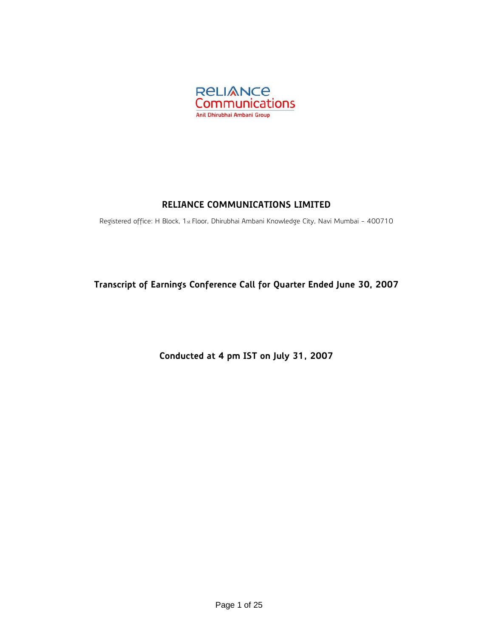

## **RELIANCE COMMUNICATIONS LIMITED**

Registered office: H Block, 1st Floor, Dhirubhai Ambani Knowledge City, Navi Mumbai - 400710

**Transcript of Earnings Conference Call for Quarter Ended June 30, 2007** 

**Conducted at 4 pm IST on July 31, 2007**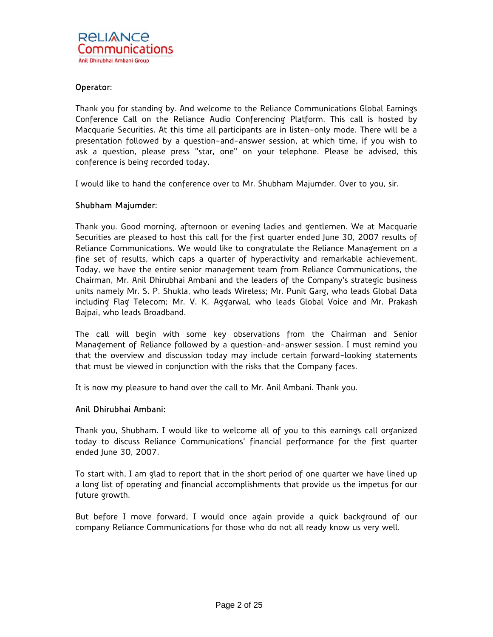## Operator:

Thank you for standing by. And welcome to the Reliance Communications Global Earnings Conference Call on the Reliance Audio Conferencing Platform. This call is hosted by Macquarie Securities. At this time all participants are in listen-only mode. There will be a presentation followed by a question-and-answer session, at which time, if you wish to ask a question, please press "star, one" on your telephone. Please be advised, this conference is being recorded today.

I would like to hand the conference over to Mr. Shubham Majumder. Over to you, sir.

## Shubham Majumder:

Thank you. Good morning, afternoon or evening ladies and gentlemen. We at Macquarie Securities are pleased to host this call for the first quarter ended June 30, 2007 results of Reliance Communications. We would like to congratulate the Reliance Management on a fine set of results, which caps a quarter of hyperactivity and remarkable achievement. Today, we have the entire senior management team from Reliance Communications, the Chairman, Mr. Anil Dhirubhai Ambani and the leaders of the Company's strategic business units namely Mr. S. P. Shukla, who leads Wireless; Mr. Punit Garg, who leads Global Data including Flag Telecom; Mr. V. K. Aggarwal, who leads Global Voice and Mr. Prakash Bajpai, who leads Broadband.

The call will begin with some key observations from the Chairman and Senior Management of Reliance followed by a question-and-answer session. I must remind you that the overview and discussion today may include certain forward-looking statements that must be viewed in conjunction with the risks that the Company faces.

It is now my pleasure to hand over the call to Mr. Anil Ambani. Thank you.

## Anil Dhirubhai Ambani:

Thank you, Shubham. I would like to welcome all of you to this earnings call organized today to discuss Reliance Communications' financial performance for the first quarter ended June 30, 2007.

To start with, I am glad to report that in the short period of one quarter we have lined up a long list of operating and financial accomplishments that provide us the impetus for our future growth.

But before I move forward, I would once again provide a quick background of our company Reliance Communications for those who do not all ready know us very well.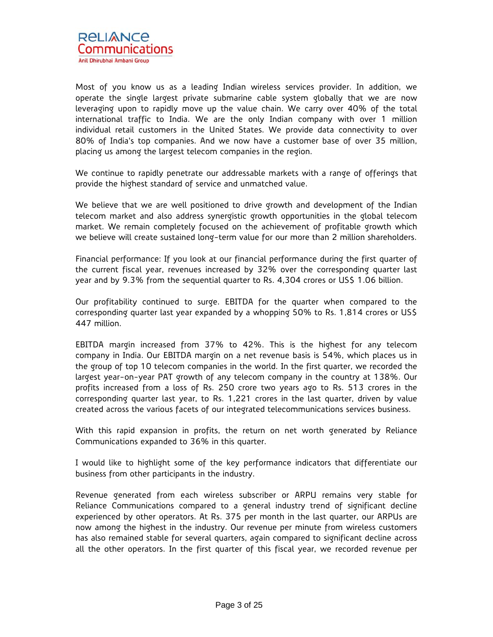

Most of you know us as a leading Indian wireless services provider. In addition, we operate the single largest private submarine cable system globally that we are now leveraging upon to rapidly move up the value chain. We carry over 40% of the total international traffic to India. We are the only Indian company with over 1 million individual retail customers in the United States. We provide data connectivity to over 80% of India's top companies. And we now have a customer base of over 35 million, placing us among the largest telecom companies in the region.

We continue to rapidly penetrate our addressable markets with a range of offerings that provide the highest standard of service and unmatched value.

We believe that we are well positioned to drive growth and development of the Indian telecom market and also address synergistic growth opportunities in the global telecom market. We remain completely focused on the achievement of profitable growth which we believe will create sustained long-term value for our more than 2 million shareholders.

Financial performance: If you look at our financial performance during the first quarter of the current fiscal year, revenues increased by 32% over the corresponding quarter last year and by 9.3% from the sequential quarter to Rs. 4,304 crores or US\$ 1.06 billion.

Our profitability continued to surge. EBITDA for the quarter when compared to the corresponding quarter last year expanded by a whopping 50% to Rs. 1,814 crores or US\$ 447 million.

EBITDA margin increased from 37% to 42%. This is the highest for any telecom company in India. Our EBITDA margin on a net revenue basis is 54%, which places us in the group of top 10 telecom companies in the world. In the first quarter, we recorded the largest year-on-year PAT growth of any telecom company in the country at 138%. Our profits increased from a loss of Rs. 250 crore two years ago to Rs. 513 crores in the corresponding quarter last year, to Rs. 1,221 crores in the last quarter, driven by value created across the various facets of our integrated telecommunications services business.

With this rapid expansion in profits, the return on net worth generated by Reliance Communications expanded to 36% in this quarter.

I would like to highlight some of the key performance indicators that differentiate our business from other participants in the industry.

Revenue generated from each wireless subscriber or ARPU remains very stable for Reliance Communications compared to a general industry trend of significant decline experienced by other operators. At Rs. 375 per month in the last quarter, our ARPUs are now among the highest in the industry. Our revenue per minute from wireless customers has also remained stable for several quarters, again compared to significant decline across all the other operators. In the first quarter of this fiscal year, we recorded revenue per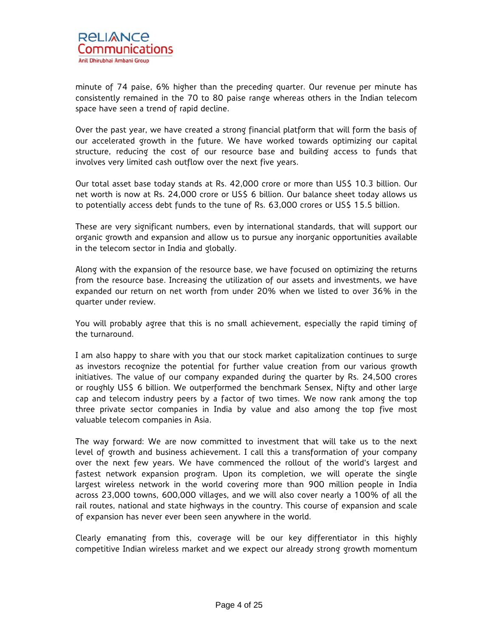

minute of 74 paise, 6% higher than the preceding quarter. Our revenue per minute has consistently remained in the 70 to 80 paise range whereas others in the Indian telecom space have seen a trend of rapid decline.

Over the past year, we have created a strong financial platform that will form the basis of our accelerated growth in the future. We have worked towards optimizing our capital structure, reducing the cost of our resource base and building access to funds that involves very limited cash outflow over the next five years.

Our total asset base today stands at Rs. 42,000 crore or more than US\$ 10.3 billion. Our net worth is now at Rs. 24,000 crore or US\$ 6 billion. Our balance sheet today allows us to potentially access debt funds to the tune of Rs. 63,000 crores or US\$ 15.5 billion.

These are very significant numbers, even by international standards, that will support our organic growth and expansion and allow us to pursue any inorganic opportunities available in the telecom sector in India and globally.

Along with the expansion of the resource base, we have focused on optimizing the returns from the resource base. Increasing the utilization of our assets and investments, we have expanded our return on net worth from under 20% when we listed to over 36% in the quarter under review.

You will probably agree that this is no small achievement, especially the rapid timing of the turnaround.

I am also happy to share with you that our stock market capitalization continues to surge as investors recognize the potential for further value creation from our various growth initiatives. The value of our company expanded during the quarter by Rs. 24,500 crores or roughly US\$ 6 billion. We outperformed the benchmark Sensex, Nifty and other large cap and telecom industry peers by a factor of two times. We now rank among the top three private sector companies in India by value and also among the top five most valuable telecom companies in Asia.

The way forward: We are now committed to investment that will take us to the next level of growth and business achievement. I call this a transformation of your company over the next few years. We have commenced the rollout of the world's largest and fastest network expansion program. Upon its completion, we will operate the single largest wireless network in the world covering more than 900 million people in India across 23,000 towns, 600,000 villages, and we will also cover nearly a 100% of all the rail routes, national and state highways in the country. This course of expansion and scale of expansion has never ever been seen anywhere in the world.

Clearly emanating from this, coverage will be our key differentiator in this highly competitive Indian wireless market and we expect our already strong growth momentum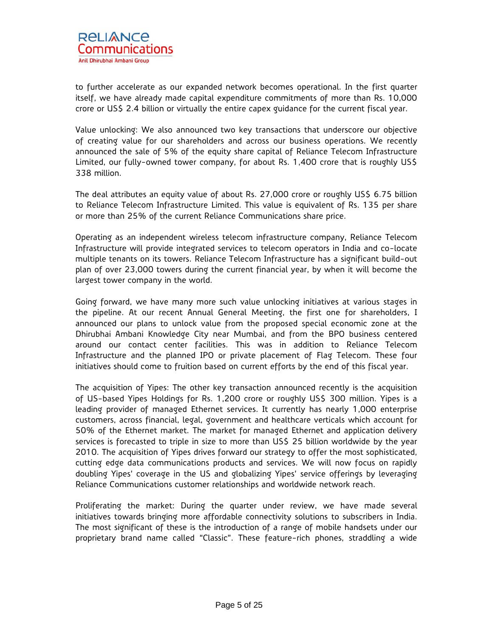to further accelerate as our expanded network becomes operational. In the first quarter itself, we have already made capital expenditure commitments of more than Rs. 10,000 crore or US\$ 2.4 billion or virtually the entire capex guidance for the current fiscal year.

Value unlocking: We also announced two key transactions that underscore our objective of creating value for our shareholders and across our business operations. We recently announced the sale of 5% of the equity share capital of Reliance Telecom Infrastructure Limited, our fully-owned tower company, for about Rs. 1,400 crore that is roughly US\$ 338 million.

The deal attributes an equity value of about Rs. 27,000 crore or roughly US\$ 6.75 billion to Reliance Telecom Infrastructure Limited. This value is equivalent of Rs. 135 per share or more than 25% of the current Reliance Communications share price.

Operating as an independent wireless telecom infrastructure company, Reliance Telecom Infrastructure will provide integrated services to telecom operators in India and co-locate multiple tenants on its towers. Reliance Telecom Infrastructure has a significant build-out plan of over 23,000 towers during the current financial year, by when it will become the largest tower company in the world.

Going forward, we have many more such value unlocking initiatives at various stages in the pipeline. At our recent Annual General Meeting, the first one for shareholders, I announced our plans to unlock value from the proposed special economic zone at the Dhirubhai Ambani Knowledge City near Mumbai, and from the BPO business centered around our contact center facilities. This was in addition to Reliance Telecom Infrastructure and the planned IPO or private placement of Flag Telecom. These four initiatives should come to fruition based on current efforts by the end of this fiscal year.

The acquisition of Yipes: The other key transaction announced recently is the acquisition of US-based Yipes Holdings for Rs. 1,200 crore or roughly US\$ 300 million. Yipes is a leading provider of managed Ethernet services. It currently has nearly 1,000 enterprise customers, across financial, legal, government and healthcare verticals which account for 50% of the Ethernet market. The market for managed Ethernet and application delivery services is forecasted to triple in size to more than US\$ 25 billion worldwide by the year 2010. The acquisition of Yipes drives forward our strategy to offer the most sophisticated, cutting edge data communications products and services. We will now focus on rapidly doubling Yipes' coverage in the US and globalizing Yipes' service offerings by leveraging Reliance Communications customer relationships and worldwide network reach.

Proliferating the market: During the quarter under review, we have made several initiatives towards bringing more affordable connectivity solutions to subscribers in India. The most significant of these is the introduction of a range of mobile handsets under our proprietary brand name called "Classic". These feature-rich phones, straddling a wide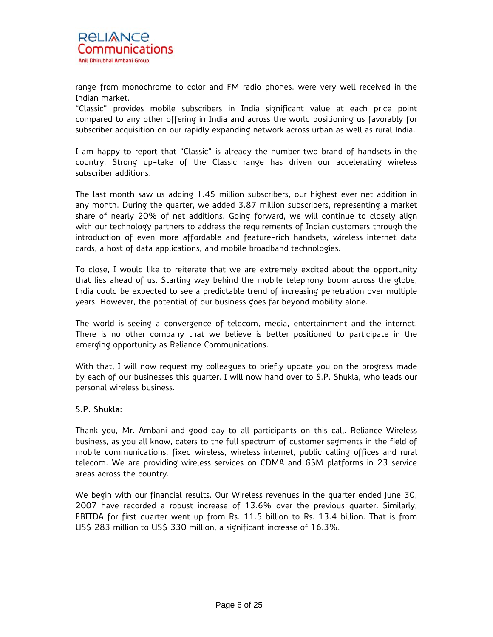range from monochrome to color and FM radio phones, were very well received in the Indian market.

"Classic" provides mobile subscribers in India significant value at each price point compared to any other offering in India and across the world positioning us favorably for subscriber acquisition on our rapidly expanding network across urban as well as rural India.

I am happy to report that "Classic" is already the number two brand of handsets in the country. Strong up-take of the Classic range has driven our accelerating wireless subscriber additions.

The last month saw us adding 1.45 million subscribers, our highest ever net addition in any month. During the quarter, we added 3.87 million subscribers, representing a market share of nearly 20% of net additions. Going forward, we will continue to closely align with our technology partners to address the requirements of Indian customers through the introduction of even more affordable and feature-rich handsets, wireless internet data cards, a host of data applications, and mobile broadband technologies.

To close, I would like to reiterate that we are extremely excited about the opportunity that lies ahead of us. Starting way behind the mobile telephony boom across the globe, India could be expected to see a predictable trend of increasing penetration over multiple years. However, the potential of our business goes far beyond mobility alone.

The world is seeing a convergence of telecom, media, entertainment and the internet. There is no other company that we believe is better positioned to participate in the emerging opportunity as Reliance Communications.

With that, I will now request my colleagues to briefly update you on the progress made by each of our businesses this quarter. I will now hand over to S.P. Shukla, who leads our personal wireless business.

## S.P. Shukla:

Thank you, Mr. Ambani and good day to all participants on this call. Reliance Wireless business, as you all know, caters to the full spectrum of customer segments in the field of mobile communications, fixed wireless, wireless internet, public calling offices and rural telecom. We are providing wireless services on CDMA and GSM platforms in 23 service areas across the country.

We begin with our financial results. Our Wireless revenues in the quarter ended June 30, 2007 have recorded a robust increase of 13.6% over the previous quarter. Similarly, EBITDA for first quarter went up from Rs. 11.5 billion to Rs. 13.4 billion. That is from US\$ 283 million to US\$ 330 million, a significant increase of 16.3%.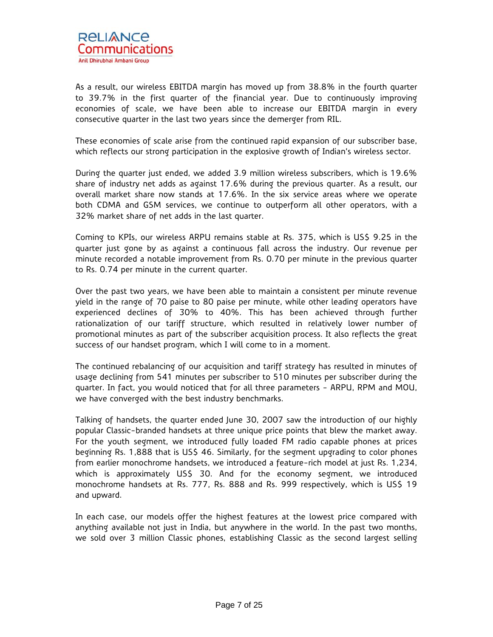As a result, our wireless EBITDA margin has moved up from 38.8% in the fourth quarter to 39.7% in the first quarter of the financial year. Due to continuously improving economies of scale, we have been able to increase our EBITDA margin in every consecutive quarter in the last two years since the demerger from RIL.

These economies of scale arise from the continued rapid expansion of our subscriber base, which reflects our strong participation in the explosive growth of Indian's wireless sector.

During the quarter just ended, we added 3.9 million wireless subscribers, which is 19.6% share of industry net adds as against 17.6% during the previous quarter. As a result, our overall market share now stands at 17.6%. In the six service areas where we operate both CDMA and GSM services, we continue to outperform all other operators, with a 32% market share of net adds in the last quarter.

Coming to KPIs, our wireless ARPU remains stable at Rs. 375, which is US\$ 9.25 in the quarter just gone by as against a continuous fall across the industry. Our revenue per minute recorded a notable improvement from Rs. 0.70 per minute in the previous quarter to Rs. 0.74 per minute in the current quarter.

Over the past two years, we have been able to maintain a consistent per minute revenue yield in the range of 70 paise to 80 paise per minute, while other leading operators have experienced declines of 30% to 40%. This has been achieved through further rationalization of our tariff structure, which resulted in relatively lower number of promotional minutes as part of the subscriber acquisition process. It also reflects the great success of our handset program, which I will come to in a moment.

The continued rebalancing of our acquisition and tariff strategy has resulted in minutes of usage declining from 541 minutes per subscriber to 510 minutes per subscriber during the quarter. In fact, you would noticed that for all three parameters - ARPU, RPM and MOU, we have converged with the best industry benchmarks.

Talking of handsets, the quarter ended June 30, 2007 saw the introduction of our highly popular Classic-branded handsets at three unique price points that blew the market away. For the youth segment, we introduced fully loaded FM radio capable phones at prices beginning Rs. 1,888 that is US\$ 46. Similarly, for the segment upgrading to color phones from earlier monochrome handsets, we introduced a feature-rich model at just Rs. 1,234, which is approximately US\$ 30. And for the economy segment, we introduced monochrome handsets at Rs. 777, Rs. 888 and Rs. 999 respectively, which is US\$ 19 and upward.

In each case, our models offer the highest features at the lowest price compared with anything available not just in India, but anywhere in the world. In the past two months, we sold over 3 million Classic phones, establishing Classic as the second largest selling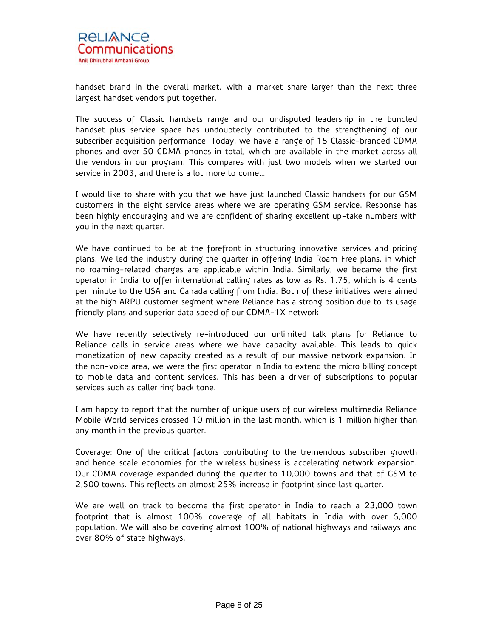

handset brand in the overall market, with a market share larger than the next three largest handset vendors put together.

The success of Classic handsets range and our undisputed leadership in the bundled handset plus service space has undoubtedly contributed to the strengthening of our subscriber acquisition performance. Today, we have a range of 15 Classic-branded CDMA phones and over 50 CDMA phones in total, which are available in the market across all the vendors in our program. This compares with just two models when we started our service in 2003, and there is a lot more to come…

I would like to share with you that we have just launched Classic handsets for our GSM customers in the eight service areas where we are operating GSM service. Response has been highly encouraging and we are confident of sharing excellent up-take numbers with you in the next quarter.

We have continued to be at the forefront in structuring innovative services and pricing plans. We led the industry during the quarter in offering India Roam Free plans, in which no roaming-related charges are applicable within India. Similarly, we became the first operator in India to offer international calling rates as low as Rs. 1.75, which is 4 cents per minute to the USA and Canada calling from India. Both of these initiatives were aimed at the high ARPU customer segment where Reliance has a strong position due to its usage friendly plans and superior data speed of our CDMA-1X network.

We have recently selectively re-introduced our unlimited talk plans for Reliance to Reliance calls in service areas where we have capacity available. This leads to quick monetization of new capacity created as a result of our massive network expansion. In the non-voice area, we were the first operator in India to extend the micro billing concept to mobile data and content services. This has been a driver of subscriptions to popular services such as caller ring back tone.

I am happy to report that the number of unique users of our wireless multimedia Reliance Mobile World services crossed 10 million in the last month, which is 1 million higher than any month in the previous quarter.

Coverage: One of the critical factors contributing to the tremendous subscriber growth and hence scale economies for the wireless business is accelerating network expansion. Our CDMA coverage expanded during the quarter to 10,000 towns and that of GSM to 2,500 towns. This reflects an almost 25% increase in footprint since last quarter.

We are well on track to become the first operator in India to reach a 23,000 town footprint that is almost 100% coverage of all habitats in India with over 5,000 population. We will also be covering almost 100% of national highways and railways and over 80% of state highways.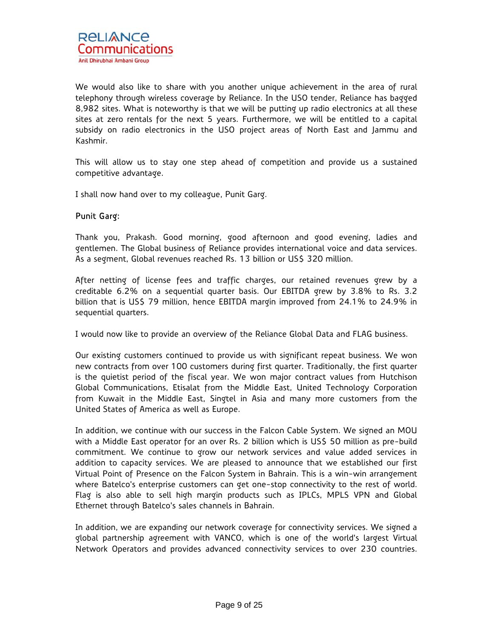We would also like to share with you another unique achievement in the area of rural telephony through wireless coverage by Reliance. In the USO tender, Reliance has bagged 8,982 sites. What is noteworthy is that we will be putting up radio electronics at all these sites at zero rentals for the next 5 years. Furthermore, we will be entitled to a capital subsidy on radio electronics in the USO project areas of North East and Jammu and Kashmir.

This will allow us to stay one step ahead of competition and provide us a sustained competitive advantage.

I shall now hand over to my colleague, Punit Garg.

## Punit Garg:

Thank you, Prakash. Good morning, good afternoon and good evening, ladies and gentlemen. The Global business of Reliance provides international voice and data services. As a segment, Global revenues reached Rs. 13 billion or US\$ 320 million.

After netting of license fees and traffic charges, our retained revenues grew by a creditable 6.2% on a sequential quarter basis. Our EBITDA grew by 3.8% to Rs. 3.2 billion that is US\$ 79 million, hence EBITDA margin improved from 24.1% to 24.9% in sequential quarters.

I would now like to provide an overview of the Reliance Global Data and FLAG business.

Our existing customers continued to provide us with significant repeat business. We won new contracts from over 100 customers during first quarter. Traditionally, the first quarter is the quietist period of the fiscal year. We won major contract values from Hutchison Global Communications, Etisalat from the Middle East, United Technology Corporation from Kuwait in the Middle East, Singtel in Asia and many more customers from the United States of America as well as Europe.

In addition, we continue with our success in the Falcon Cable System. We signed an MOU with a Middle East operator for an over Rs. 2 billion which is US\$ 50 million as pre-build commitment. We continue to grow our network services and value added services in addition to capacity services. We are pleased to announce that we established our first Virtual Point of Presence on the Falcon System in Bahrain. This is a win-win arrangement where Batelco's enterprise customers can get one-stop connectivity to the rest of world. Flag is also able to sell high margin products such as IPLCs, MPLS VPN and Global Ethernet through Batelco's sales channels in Bahrain.

In addition, we are expanding our network coverage for connectivity services. We signed a global partnership agreement with VANCO, which is one of the world's largest Virtual Network Operators and provides advanced connectivity services to over 230 countries.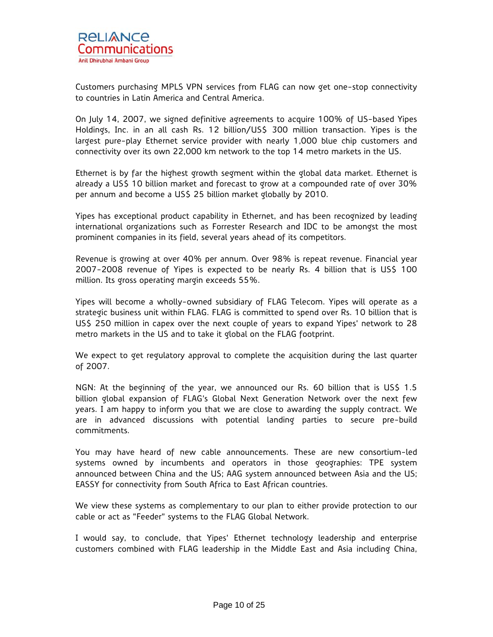Customers purchasing MPLS VPN services from FLAG can now get one-stop connectivity to countries in Latin America and Central America.

On July 14, 2007, we signed definitive agreements to acquire 100% of US-based Yipes Holdings, Inc. in an all cash Rs. 12 billion/US\$ 300 million transaction. Yipes is the largest pure-play Ethernet service provider with nearly 1,000 blue chip customers and connectivity over its own 22,000 km network to the top 14 metro markets in the US.

Ethernet is by far the highest growth segment within the global data market. Ethernet is already a US\$ 10 billion market and forecast to grow at a compounded rate of over 30% per annum and become a US\$ 25 billion market globally by 2010.

Yipes has exceptional product capability in Ethernet, and has been recognized by leading international organizations such as Forrester Research and IDC to be amongst the most prominent companies in its field, several years ahead of its competitors.

Revenue is growing at over 40% per annum. Over 98% is repeat revenue. Financial year 2007-2008 revenue of Yipes is expected to be nearly Rs. 4 billion that is US\$ 100 million. Its gross operating margin exceeds 55%.

Yipes will become a wholly-owned subsidiary of FLAG Telecom. Yipes will operate as a strategic business unit within FLAG. FLAG is committed to spend over Rs. 10 billion that is US\$ 250 million in capex over the next couple of years to expand Yipes' network to 28 metro markets in the US and to take it global on the FLAG footprint.

We expect to get regulatory approval to complete the acquisition during the last quarter of 2007.

NGN: At the beginning of the year, we announced our Rs. 60 billion that is US\$ 1.5 billion global expansion of FLAG's Global Next Generation Network over the next few years. I am happy to inform you that we are close to awarding the supply contract. We are in advanced discussions with potential landing parties to secure pre-build commitments.

You may have heard of new cable announcements. These are new consortium-led systems owned by incumbents and operators in those geographies: TPE system announced between China and the US; AAG system announced between Asia and the US; EASSY for connectivity from South Africa to East African countries.

We view these systems as complementary to our plan to either provide protection to our cable or act as "Feeder" systems to the FLAG Global Network.

I would say, to conclude, that Yipes' Ethernet technology leadership and enterprise customers combined with FLAG leadership in the Middle East and Asia including China,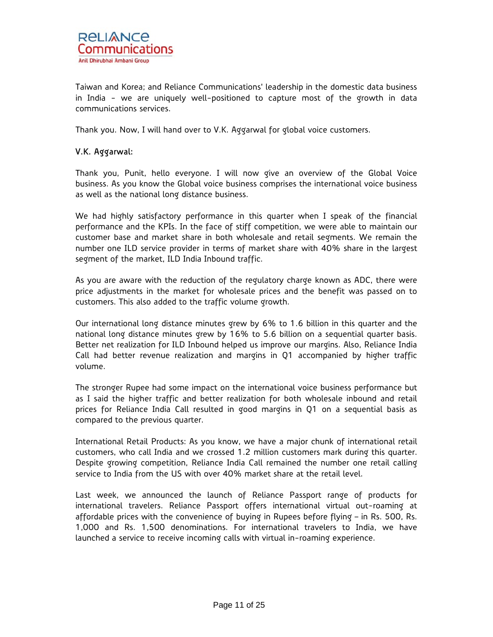Taiwan and Korea; and Reliance Communications' leadership in the domestic data business in India - we are uniquely well-positioned to capture most of the growth in data communications services.

Thank you. Now, I will hand over to V.K. Aggarwal for global voice customers.

## V.K. Aggarwal:

Thank you, Punit, hello everyone. I will now give an overview of the Global Voice business. As you know the Global voice business comprises the international voice business as well as the national long distance business.

We had highly satisfactory performance in this quarter when I speak of the financial performance and the KPIs. In the face of stiff competition, we were able to maintain our customer base and market share in both wholesale and retail segments. We remain the number one ILD service provider in terms of market share with 40% share in the largest segment of the market, ILD India Inbound traffic.

As you are aware with the reduction of the regulatory charge known as ADC, there were price adjustments in the market for wholesale prices and the benefit was passed on to customers. This also added to the traffic volume growth.

Our international long distance minutes grew by 6% to 1.6 billion in this quarter and the national long distance minutes grew by 16% to 5.6 billion on a sequential quarter basis. Better net realization for ILD Inbound helped us improve our margins. Also, Reliance India Call had better revenue realization and margins in Q1 accompanied by higher traffic volume.

The stronger Rupee had some impact on the international voice business performance but as I said the higher traffic and better realization for both wholesale inbound and retail prices for Reliance India Call resulted in good margins in Q1 on a sequential basis as compared to the previous quarter.

International Retail Products: As you know, we have a major chunk of international retail customers, who call India and we crossed 1.2 million customers mark during this quarter. Despite growing competition, Reliance India Call remained the number one retail calling service to India from the US with over 40% market share at the retail level.

Last week, we announced the launch of Reliance Passport range of products for international travelers. Reliance Passport offers international virtual out-roaming at affordable prices with the convenience of buying in Rupees before flying – in Rs. 500, Rs. 1,000 and Rs. 1,500 denominations. For international travelers to India, we have launched a service to receive incoming calls with virtual in-roaming experience.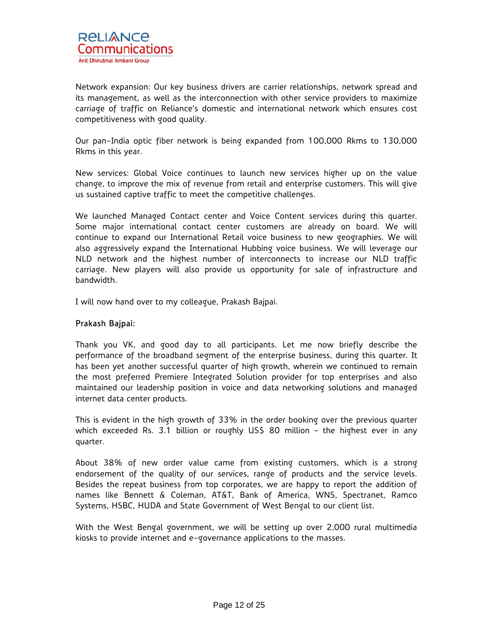Network expansion: Our key business drivers are carrier relationships, network spread and its management, as well as the interconnection with other service providers to maximize carriage of traffic on Reliance's domestic and international network which ensures cost competitiveness with good quality.

Our pan-India optic fiber network is being expanded from 100,000 Rkms to 130,000 Rkms in this year.

New services: Global Voice continues to launch new services higher up on the value change, to improve the mix of revenue from retail and enterprise customers. This will give us sustained captive traffic to meet the competitive challenges.

We launched Managed Contact center and Voice Content services during this quarter. Some major international contact center customers are already on board. We will continue to expand our International Retail voice business to new geographies. We will also aggressively expand the International Hubbing voice business. We will leverage our NLD network and the highest number of interconnects to increase our NLD traffic carriage. New players will also provide us opportunity for sale of infrastructure and bandwidth.

I will now hand over to my colleague, Prakash Bajpai.

## Prakash Bajpai:

Thank you VK, and good day to all participants. Let me now briefly describe the performance of the broadband segment of the enterprise business, during this quarter. It has been yet another successful quarter of high growth, wherein we continued to remain the most preferred Premiere Integrated Solution provider for top enterprises and also maintained our leadership position in voice and data networking solutions and managed internet data center products.

This is evident in the high growth of 33% in the order booking over the previous quarter which exceeded Rs. 3.1 billion or roughly US\$ 80 million – the highest ever in any quarter.

About 38% of new order value came from existing customers, which is a strong endorsement of the quality of our services, range of products and the service levels. Besides the repeat business from top corporates, we are happy to report the addition of names like Bennett & Coleman, AT&T, Bank of America, WNS, Spectranet, Ramco Systems, HSBC, HUDA and State Government of West Bengal to our client list.

With the West Bengal government, we will be setting up over 2,000 rural multimedia kiosks to provide internet and e-governance applications to the masses.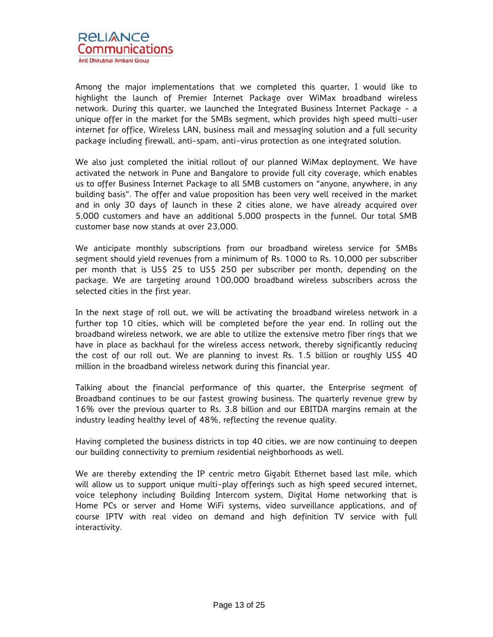

Among the major implementations that we completed this quarter, I would like to highlight the launch of Premier Internet Package over WiMax broadband wireless network. During this quarter, we launched the Integrated Business Internet Package - a unique offer in the market for the SMBs segment, which provides high speed multi-user internet for office, Wireless LAN, business mail and messaging solution and a full security package including firewall, anti-spam, anti-virus protection as one integrated solution.

We also just completed the initial rollout of our planned WiMax deployment. We have activated the network in Pune and Bangalore to provide full city coverage, which enables us to offer Business Internet Package to all SMB customers on "anyone, anywhere, in any building basis". The offer and value proposition has been very well received in the market and in only 30 days of launch in these 2 cities alone, we have already acquired over 5,000 customers and have an additional 5,000 prospects in the funnel. Our total SMB customer base now stands at over 23,000.

We anticipate monthly subscriptions from our broadband wireless service for SMBs segment should yield revenues from a minimum of Rs. 1000 to Rs. 10,000 per subscriber per month that is US\$ 25 to US\$ 250 per subscriber per month, depending on the package. We are targeting around 100,000 broadband wireless subscribers across the selected cities in the first year.

In the next stage of roll out, we will be activating the broadband wireless network in a further top 10 cities, which will be completed before the year end. In rolling out the broadband wireless network, we are able to utilize the extensive metro fiber rings that we have in place as backhaul for the wireless access network, thereby significantly reducing the cost of our roll out. We are planning to invest Rs. 1.5 billion or roughly US\$ 40 million in the broadband wireless network during this financial year.

Talking about the financial performance of this quarter, the Enterprise segment of Broadband continues to be our fastest growing business. The quarterly revenue grew by 16% over the previous quarter to Rs. 3.8 billion and our EBITDA margins remain at the industry leading healthy level of 48%, reflecting the revenue quality.

Having completed the business districts in top 40 cities, we are now continuing to deepen our building connectivity to premium residential neighborhoods as well.

We are thereby extending the IP centric metro Gigabit Ethernet based last mile, which will allow us to support unique multi-play offerings such as high speed secured internet, voice telephony including Building Intercom system, Digital Home networking that is Home PCs or server and Home WiFi systems, video surveillance applications, and of course IPTV with real video on demand and high definition TV service with full interactivity.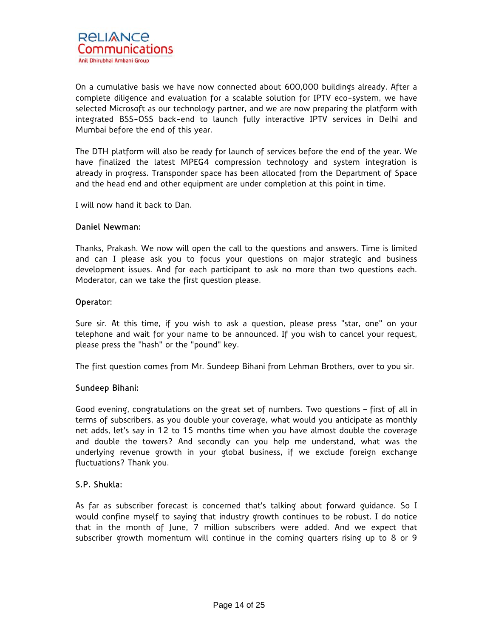On a cumulative basis we have now connected about 600,000 buildings already. After a complete diligence and evaluation for a scalable solution for IPTV eco-system, we have selected Microsoft as our technology partner, and we are now preparing the platform with integrated BSS-OSS back-end to launch fully interactive IPTV services in Delhi and Mumbai before the end of this year.

The DTH platform will also be ready for launch of services before the end of the year. We have finalized the latest MPEG4 compression technology and system integration is already in progress. Transponder space has been allocated from the Department of Space and the head end and other equipment are under completion at this point in time.

I will now hand it back to Dan.

## Daniel Newman:

Thanks, Prakash. We now will open the call to the questions and answers. Time is limited and can I please ask you to focus your questions on major strategic and business development issues. And for each participant to ask no more than two questions each. Moderator, can we take the first question please.

## Operator:

Sure sir. At this time, if you wish to ask a question, please press "star, one" on your telephone and wait for your name to be announced. If you wish to cancel your request, please press the "hash" or the "pound" key.

The first question comes from Mr. Sundeep Bihani from Lehman Brothers, over to you sir.

## Sundeep Bihani:

Good evening, congratulations on the great set of numbers. Two questions – first of all in terms of subscribers, as you double your coverage, what would you anticipate as monthly net adds, let's say in 12 to 15 months time when you have almost double the coverage and double the towers? And secondly can you help me understand, what was the underlying revenue growth in your global business, if we exclude foreign exchange fluctuations? Thank you.

## S.P. Shukla:

As far as subscriber forecast is concerned that's talking about forward guidance. So I would confine myself to saying that industry growth continues to be robust. I do notice that in the month of June, 7 million subscribers were added. And we expect that subscriber growth momentum will continue in the coming quarters rising up to 8 or 9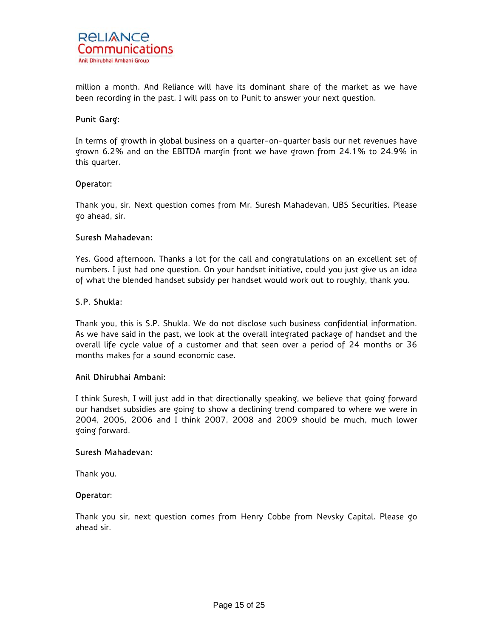

million a month. And Reliance will have its dominant share of the market as we have been recording in the past. I will pass on to Punit to answer your next question.

## Punit Garg:

In terms of growth in global business on a quarter-on-quarter basis our net revenues have grown 6.2% and on the EBITDA margin front we have grown from 24.1% to 24.9% in this quarter.

## Operator:

Thank you, sir. Next question comes from Mr. Suresh Mahadevan, UBS Securities. Please go ahead, sir.

#### Suresh Mahadevan:

Yes. Good afternoon. Thanks a lot for the call and congratulations on an excellent set of numbers. I just had one question. On your handset initiative, could you just give us an idea of what the blended handset subsidy per handset would work out to roughly, thank you.

#### S.P. Shukla:

Thank you, this is S.P. Shukla. We do not disclose such business confidential information. As we have said in the past, we look at the overall integrated package of handset and the overall life cycle value of a customer and that seen over a period of 24 months or 36 months makes for a sound economic case.

## Anil Dhirubhai Ambani:

I think Suresh, I will just add in that directionally speaking, we believe that going forward our handset subsidies are going to show a declining trend compared to where we were in 2004, 2005, 2006 and I think 2007, 2008 and 2009 should be much, much lower going forward.

#### Suresh Mahadevan:

Thank you.

#### Operator:

Thank you sir, next question comes from Henry Cobbe from Nevsky Capital. Please go ahead sir.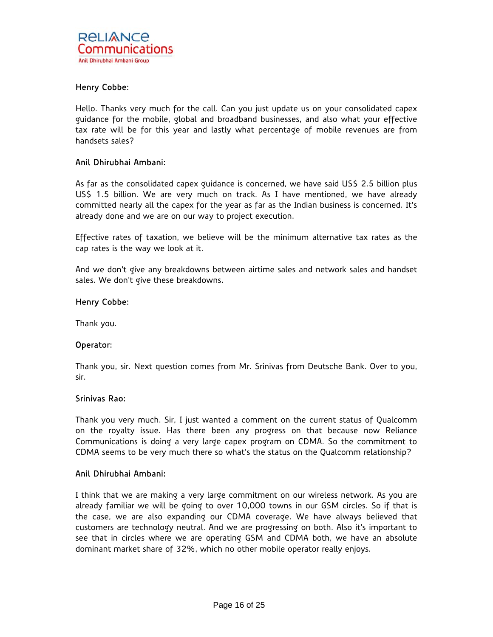## Henry Cobbe:

Hello. Thanks very much for the call. Can you just update us on your consolidated capex guidance for the mobile, global and broadband businesses, and also what your effective tax rate will be for this year and lastly what percentage of mobile revenues are from handsets sales?

## Anil Dhirubhai Ambani:

As far as the consolidated capex guidance is concerned, we have said US\$ 2.5 billion plus US\$ 1.5 billion. We are very much on track. As I have mentioned, we have already committed nearly all the capex for the year as far as the Indian business is concerned. It's already done and we are on our way to project execution.

Effective rates of taxation, we believe will be the minimum alternative tax rates as the cap rates is the way we look at it.

And we don't give any breakdowns between airtime sales and network sales and handset sales. We don't give these breakdowns.

#### Henry Cobbe:

Thank you.

#### Operator:

Thank you, sir. Next question comes from Mr. Srinivas from Deutsche Bank. Over to you, sir.

#### Srinivas Rao:

Thank you very much. Sir, I just wanted a comment on the current status of Qualcomm on the royalty issue. Has there been any progress on that because now Reliance Communications is doing a very large capex program on CDMA. So the commitment to CDMA seems to be very much there so what's the status on the Qualcomm relationship?

## Anil Dhirubhai Ambani:

I think that we are making a very large commitment on our wireless network. As you are already familiar we will be going to over 10,000 towns in our GSM circles. So if that is the case, we are also expanding our CDMA coverage. We have always believed that customers are technology neutral. And we are progressing on both. Also it's important to see that in circles where we are operating GSM and CDMA both, we have an absolute dominant market share of 32%, which no other mobile operator really enjoys.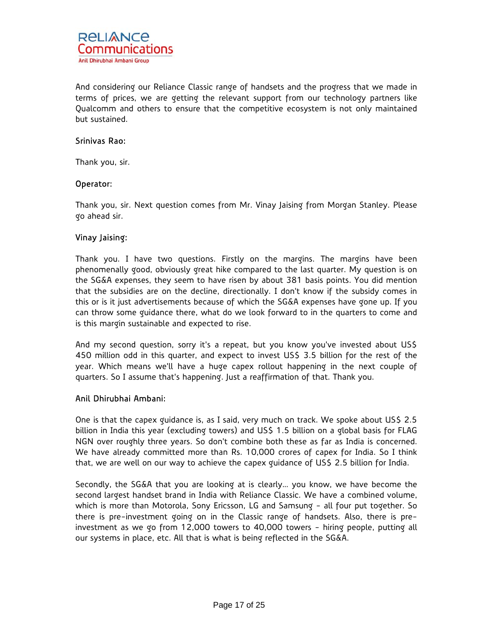

And considering our Reliance Classic range of handsets and the progress that we made in terms of prices, we are getting the relevant support from our technology partners like Qualcomm and others to ensure that the competitive ecosystem is not only maintained but sustained.

## Srinivas Rao:

Thank you, sir.

## Operator:

Thank you, sir. Next question comes from Mr. Vinay Jaising from Morgan Stanley. Please go ahead sir.

## Vinay Jaising:

Thank you. I have two questions. Firstly on the margins. The margins have been phenomenally good, obviously great hike compared to the last quarter. My question is on the SG&A expenses, they seem to have risen by about 381 basis points. You did mention that the subsidies are on the decline, directionally. I don't know if the subsidy comes in this or is it just advertisements because of which the SG&A expenses have gone up. If you can throw some guidance there, what do we look forward to in the quarters to come and is this margin sustainable and expected to rise.

And my second question, sorry it's a repeat, but you know you've invested about US\$ 450 million odd in this quarter, and expect to invest US\$ 3.5 billion for the rest of the year. Which means we'll have a huge capex rollout happening in the next couple of quarters. So I assume that's happening. Just a reaffirmation of that. Thank you.

## Anil Dhirubhai Ambani:

One is that the capex guidance is, as I said, very much on track. We spoke about US\$ 2.5 billion in India this year (excluding towers) and US\$ 1.5 billion on a global basis for FLAG NGN over roughly three years. So don't combine both these as far as India is concerned. We have already committed more than Rs. 10,000 crores of capex for India. So I think that, we are well on our way to achieve the capex guidance of US\$ 2.5 billion for India.

Secondly, the SG&A that you are looking at is clearly… you know, we have become the second largest handset brand in India with Reliance Classic. We have a combined volume, which is more than Motorola, Sony Ericsson, LG and Samsung - all four put together. So there is pre-investment going on in the Classic range of handsets. Also, there is preinvestment as we go from 12,000 towers to 40,000 towers - hiring people, putting all our systems in place, etc. All that is what is being reflected in the SG&A.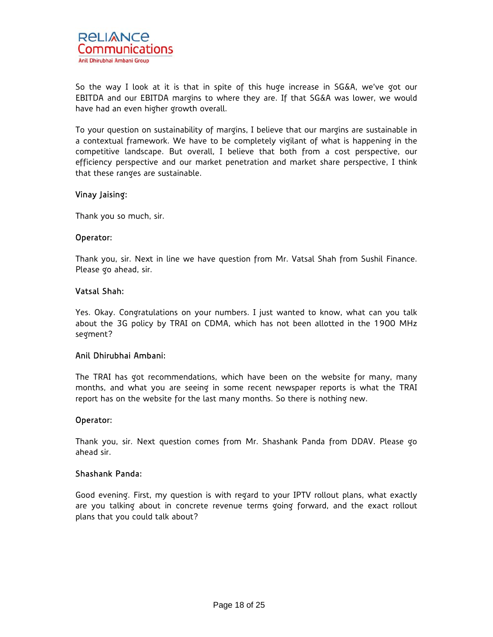

So the way I look at it is that in spite of this huge increase in SG&A, we've got our EBITDA and our EBITDA margins to where they are. If that SG&A was lower, we would have had an even higher growth overall.

To your question on sustainability of margins, I believe that our margins are sustainable in a contextual framework. We have to be completely vigilant of what is happening in the competitive landscape. But overall, I believe that both from a cost perspective, our efficiency perspective and our market penetration and market share perspective, I think that these ranges are sustainable.

## Vinay Jaising:

Thank you so much, sir.

#### Operator:

Thank you, sir. Next in line we have question from Mr. Vatsal Shah from Sushil Finance. Please go ahead, sir.

## Vatsal Shah:

Yes. Okay. Congratulations on your numbers. I just wanted to know, what can you talk about the 3G policy by TRAI on CDMA, which has not been allotted in the 1900 MHz segment?

## Anil Dhirubhai Ambani:

The TRAI has got recommendations, which have been on the website for many, many months, and what you are seeing in some recent newspaper reports is what the TRAI report has on the website for the last many months. So there is nothing new.

## Operator:

Thank you, sir. Next question comes from Mr. Shashank Panda from DDAV. Please go ahead sir.

## Shashank Panda:

Good evening. First, my question is with regard to your IPTV rollout plans, what exactly are you talking about in concrete revenue terms going forward, and the exact rollout plans that you could talk about?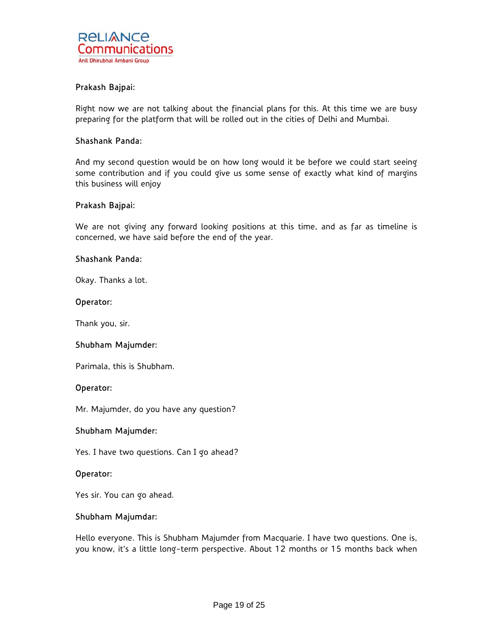## Prakash Bajpai:

Right now we are not talking about the financial plans for this. At this time we are busy preparing for the platform that will be rolled out in the cities of Delhi and Mumbai.

#### Shashank Panda:

And my second question would be on how long would it be before we could start seeing some contribution and if you could give us some sense of exactly what kind of margins this business will enjoy

#### Prakash Bajpai:

We are not giving any forward looking positions at this time, and as far as timeline is concerned, we have said before the end of the year.

#### Shashank Panda:

Okay. Thanks a lot.

#### Operator:

Thank you, sir.

## Shubham Majumder:

Parimala, this is Shubham.

#### Operator:

Mr. Majumder, do you have any question?

## Shubham Majumder:

Yes. I have two questions. Can I go ahead?

## Operator:

Yes sir. You can go ahead.

## Shubham Majumdar:

Hello everyone. This is Shubham Majumder from Macquarie. I have two questions. One is, you know, it's a little long-term perspective. About 12 months or 15 months back when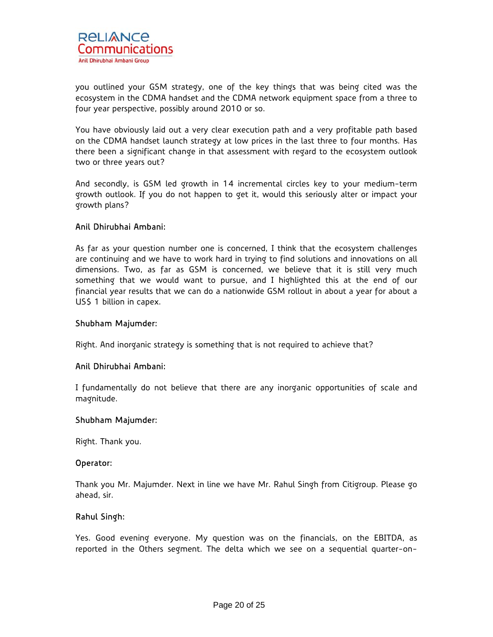

you outlined your GSM strategy, one of the key things that was being cited was the ecosystem in the CDMA handset and the CDMA network equipment space from a three to four year perspective, possibly around 2010 or so.

You have obviously laid out a very clear execution path and a very profitable path based on the CDMA handset launch strategy at low prices in the last three to four months. Has there been a significant change in that assessment with regard to the ecosystem outlook two or three years out?

And secondly, is GSM led growth in 14 incremental circles key to your medium-term growth outlook. If you do not happen to get it, would this seriously alter or impact your growth plans?

## Anil Dhirubhai Ambani:

As far as your question number one is concerned, I think that the ecosystem challenges are continuing and we have to work hard in trying to find solutions and innovations on all dimensions. Two, as far as GSM is concerned, we believe that it is still very much something that we would want to pursue, and I highlighted this at the end of our financial year results that we can do a nationwide GSM rollout in about a year for about a US\$ 1 billion in capex.

## Shubham Majumder:

Right. And inorganic strategy is something that is not required to achieve that?

## Anil Dhirubhai Ambani:

I fundamentally do not believe that there are any inorganic opportunities of scale and magnitude.

#### Shubham Majumder:

Right. Thank you.

#### Operator:

Thank you Mr. Majumder. Next in line we have Mr. Rahul Singh from Citigroup. Please go ahead, sir.

## Rahul Singh:

Yes. Good evening everyone. My question was on the financials, on the EBITDA, as reported in the Others segment. The delta which we see on a sequential quarter-on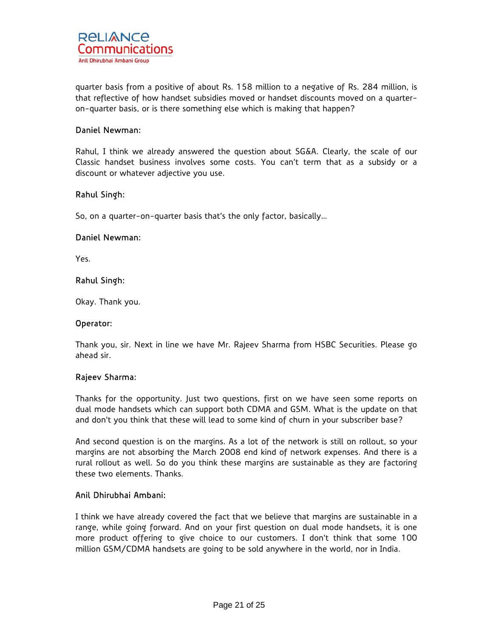quarter basis from a positive of about Rs. 158 million to a negative of Rs. 284 million, is that reflective of how handset subsidies moved or handset discounts moved on a quarteron-quarter basis, or is there something else which is making that happen?

## Daniel Newman:

Rahul, I think we already answered the question about SG&A. Clearly, the scale of our Classic handset business involves some costs. You can't term that as a subsidy or a discount or whatever adjective you use.

## Rahul Singh:

So, on a quarter-on-quarter basis that's the only factor, basically…

## Daniel Newman:

Yes.

## Rahul Singh:

Okay. Thank you.

#### Operator:

Thank you, sir. Next in line we have Mr. Rajeev Sharma from HSBC Securities. Please go ahead sir.

## Rajeev Sharma:

Thanks for the opportunity. Just two questions, first on we have seen some reports on dual mode handsets which can support both CDMA and GSM. What is the update on that and don't you think that these will lead to some kind of churn in your subscriber base?

And second question is on the margins. As a lot of the network is still on rollout, so your margins are not absorbing the March 2008 end kind of network expenses. And there is a rural rollout as well. So do you think these margins are sustainable as they are factoring these two elements. Thanks.

## Anil Dhirubhai Ambani:

I think we have already covered the fact that we believe that margins are sustainable in a range, while going forward. And on your first question on dual mode handsets, it is one more product offering to give choice to our customers. I don't think that some 100 million GSM/CDMA handsets are going to be sold anywhere in the world, nor in India.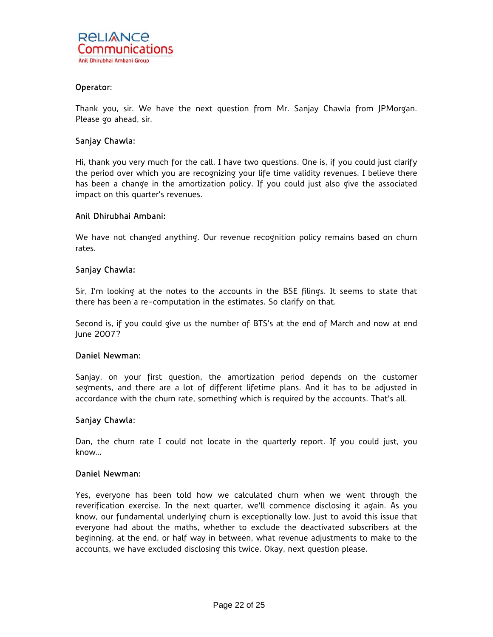

## Operator:

Thank you, sir. We have the next question from Mr. Sanjay Chawla from JPMorgan. Please go ahead, sir.

## Sanjay Chawla:

Hi, thank you very much for the call. I have two questions. One is, if you could just clarify the period over which you are recognizing your life time validity revenues. I believe there has been a change in the amortization policy. If you could just also give the associated impact on this quarter's revenues.

## Anil Dhirubhai Ambani:

We have not changed anything. Our revenue recognition policy remains based on churn rates.

## Sanjay Chawla:

Sir, I'm looking at the notes to the accounts in the BSE filings. It seems to state that there has been a re-computation in the estimates. So clarify on that.

Second is, if you could give us the number of BTS's at the end of March and now at end June 2007?

## Daniel Newman:

Sanjay, on your first question, the amortization period depends on the customer segments, and there are a lot of different lifetime plans. And it has to be adjusted in accordance with the churn rate, something which is required by the accounts. That's all.

## Sanjay Chawla:

Dan, the churn rate I could not locate in the quarterly report. If you could just, you know…

## Daniel Newman:

Yes, everyone has been told how we calculated churn when we went through the reverification exercise. In the next quarter, we'll commence disclosing it again. As you know, our fundamental underlying churn is exceptionally low. Just to avoid this issue that everyone had about the maths, whether to exclude the deactivated subscribers at the beginning, at the end, or half way in between, what revenue adjustments to make to the accounts, we have excluded disclosing this twice. Okay, next question please.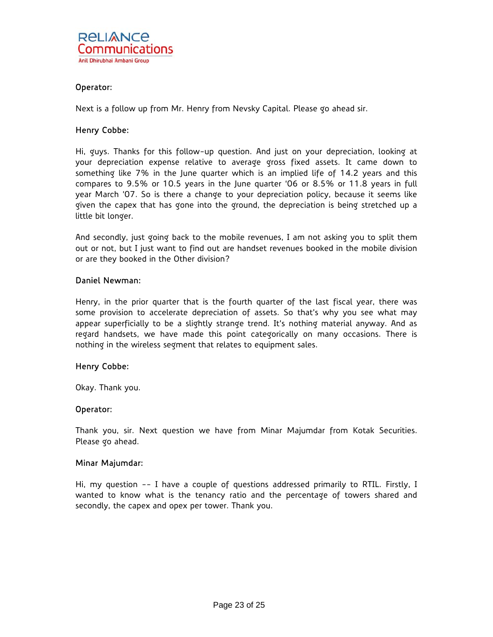

## Operator:

Next is a follow up from Mr. Henry from Nevsky Capital. Please go ahead sir.

## Henry Cobbe:

Hi, guys. Thanks for this follow-up question. And just on your depreciation, looking at your depreciation expense relative to average gross fixed assets. It came down to something like 7% in the June quarter which is an implied life of 14.2 years and this compares to 9.5% or 10.5 years in the June quarter '06 or 8.5% or 11.8 years in full year March '07. So is there a change to your depreciation policy, because it seems like given the capex that has gone into the ground, the depreciation is being stretched up a little bit longer.

And secondly, just going back to the mobile revenues, I am not asking you to split them out or not, but I just want to find out are handset revenues booked in the mobile division or are they booked in the Other division?

## Daniel Newman:

Henry, in the prior quarter that is the fourth quarter of the last fiscal year, there was some provision to accelerate depreciation of assets. So that's why you see what may appear superficially to be a slightly strange trend. It's nothing material anyway. And as regard handsets, we have made this point categorically on many occasions. There is nothing in the wireless segment that relates to equipment sales.

## Henry Cobbe:

Okay. Thank you.

#### Operator:

Thank you, sir. Next question we have from Minar Majumdar from Kotak Securities. Please go ahead.

#### Minar Majumdar:

Hi, my question -- I have a couple of questions addressed primarily to RTIL. Firstly, I wanted to know what is the tenancy ratio and the percentage of towers shared and secondly, the capex and opex per tower. Thank you.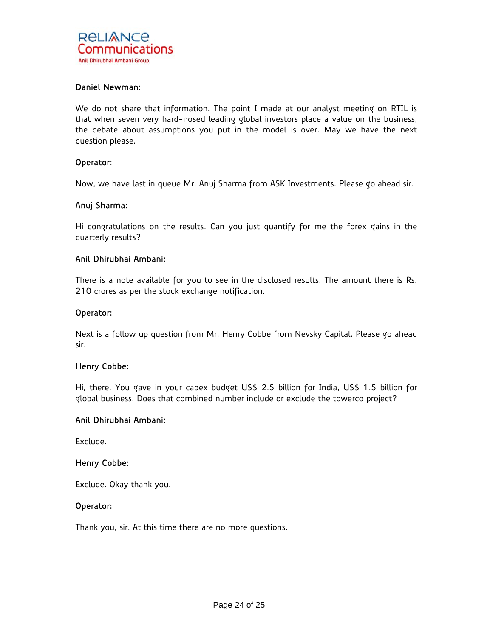## Daniel Newman:

We do not share that information. The point I made at our analyst meeting on RTIL is that when seven very hard-nosed leading global investors place a value on the business, the debate about assumptions you put in the model is over. May we have the next question please.

#### Operator:

Now, we have last in queue Mr. Anuj Sharma from ASK Investments. Please go ahead sir.

#### Anuj Sharma:

Hi congratulations on the results. Can you just quantify for me the forex gains in the quarterly results?

## Anil Dhirubhai Ambani:

There is a note available for you to see in the disclosed results. The amount there is Rs. 210 crores as per the stock exchange notification.

#### Operator:

Next is a follow up question from Mr. Henry Cobbe from Nevsky Capital. Please go ahead sir.

## Henry Cobbe:

Hi, there. You gave in your capex budget US\$ 2.5 billion for India, US\$ 1.5 billion for global business. Does that combined number include or exclude the towerco project?

#### Anil Dhirubhai Ambani:

Exclude.

## Henry Cobbe:

Exclude. Okay thank you.

#### Operator:

Thank you, sir. At this time there are no more questions.